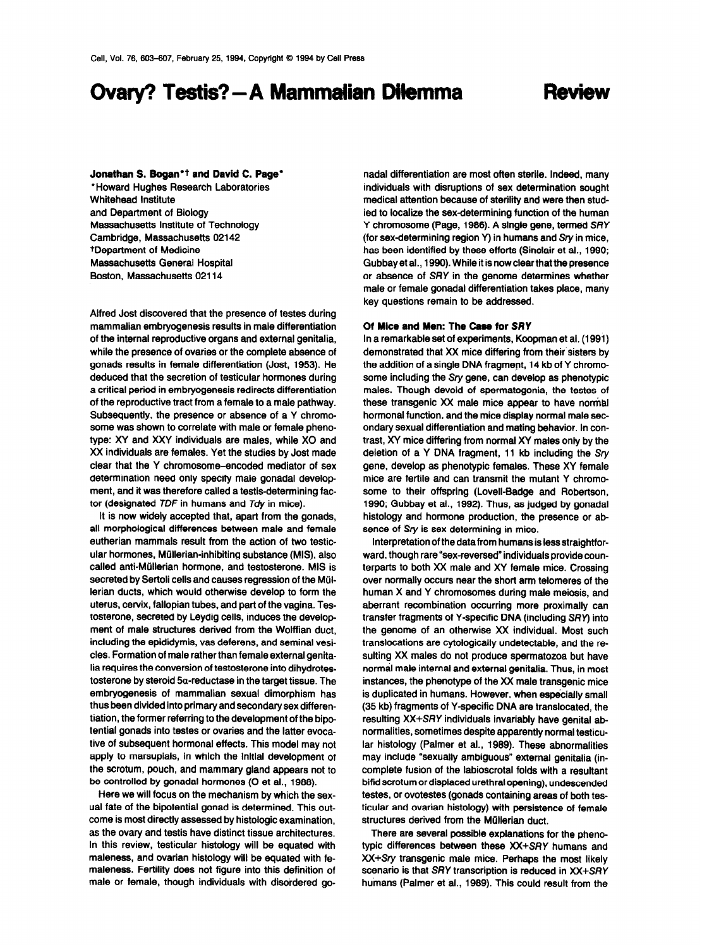# Ovary? Testis? - A Mammalian Dilemma

## Review

#### Jonathan S. Bogan<sup>\*†</sup> and David C. Page\*

\*Howard Hughes Research Laboratories Whitehead Institute and Department of Biology Massachusetts Institute of Technology Cambridge, Massachusetts 02142 tDepartment of Medicine Massachusetts General Hospital Boston, Massachusetts 02114

Alfred Jost discovered that the presence of testes during mammalian embryogenesis results in male differentiation of the internal reproductive organs and external genitalia, while the presence of ovaries or the complete absence of gonads results in female differentiation (Jost, 1953). He deduced that the secretion of testicular hormones during a critical period in embryogenesis redirects differentiation of the reproductive tract from a female to a male pathway. Subsequently, the presence or absence of a Y chromosome was shown to correlate with male or female phenotype: XY and XXY individuals are males, while X0 and XX individuals are females. Yet the studies by Jost made clear that the Y chromosome-encoded mediator of sex determination need only specify male gonadal development, and it was therefore called a testis-determining factor (designated TDF in humans and Tdy in mice).

It is now widely accepted that, apart from the gonads, all morphological differences between male and female eutherian mammals result from the action of two testicular hormones, Miillerian-inhibiting substance (MIS), also called anti-Müllerian hormone, and testosterone. MIS is secreted by Sertoli cells and causes regression of the Müllerian ducts, which would otherwise develop to form the uterus, cervix, fallopian tubes, and part of the vagina. Testosterone, secreted by Leydig cells, induces the develop ment of male structures derived from the Wolffian duct, including the epididymis, vas deferens, and seminal vesicles. Formation of male rather than female external genitalia requires the conversion of testosterone into dihydrotestosterone by steroid  $5\alpha$ -reductase in the target tissue. The embryogenesis of mammalian sexual dimorphism has thus been divided into primary and secondary sex differentiation, the former referring to the development of the bipotential gonads into testes or ovaries and the latter evocative of subsequent hormonal effects. This model may not apply to marsupials, in which the initial development of the scrotum, pouch, and mammary gland appears not to be controlled by gonadal hormones (O et al., 1988).

Here we will focus on the mechanism by which the sexual fate of the bipotential gonad is determined. This outcome is most directly assessed by histologic examination, as the ovary and testis have distinct tissue architectures. In this review, testicular histology will be equated with maleness, and ovarian histology will be equated with femaleness. Fertility does not figure into this definition of male or female, though individuals with disordered gonadal differentiation are most often sterile. Indeed, many individuals with disruptions of sex determination sought medical attention because of sterility and were then studied to localize the sex-determining function of the human Y chromosome (Page, 1986). A single gene, termed SRY (for sex-determining region Y) in humans and  $Sry$  in mice, has been identified by these efforts (Sinclair et al., 1990; Gubbay et al., 1990). While it is now clear that the presence or absence of SRY in the genome determines whether male or female gonadal differentiation takes place, many key questions remain to be addressed.

### Of Mice and Men: The Case for SRY

In a remarkable set of experiments, Koopman et al. (1991) demonstrated that XX mice differing from their sisters by the addition of a single DNA fragment, 14 kb of Y chromosome including the Sry gene, can develop as phenotypic males. Though devoid of spermatogonia, the testes of these transgenic XX male mice appear to have normal hormonal function, and the mice display normal male secondary sexual differentiation and mating behavior. In contrast, XY mice differing from normal XY males onfy by the deletion of a Y DNA fragment, 11 kb including the Sry gene, develop as phenotypic females. These XY female mice are fertile and can transmit the mutant Y chromosome to their offspring (Lovell-Badge and Robertson, 1990; Gubbay et al., 1992). Thus, as judged by gonadal histology and hormone production, the presence or absence of Sry is sex determining in mice.

Interpretation of the data from humans is less straightforward, though rare "sex-reversed" individuals provide counterparts to both XX male and XY female mice. Crossing over normally occurs near the short arm telomeres of the human X and Y chromosomes during male meiosis, and aberrant recombination occurring more proximally can transfer fragments of Y-specific DNA (including SPY) into the genome of an otherwise XX individual. Most such translocations are cytologically undetectable, and the resulting XX males do not produce spermatozoa but have normal male internal and external genitalia. Thus, in most instances, the phenotype of the XX male transgenic mice is duplicated in humans. However, when especially small (35 kb) fragments of Y-specific DNA are translocated, the resulting XX+SRY individuals invariably have genital abnormalities, sometimes despite apparently normal testicular histology (Palmer et al., 1989). These abnormalities may include "sexually ambiguous" external genitalia (incomplete fusion of the labioscrotal folds with a resultant bifid scrotum or displaced urethral opening), undescended testes, or ovotestes (gonads containing areas of both testicular and ovarian histology) with persistence of female structures derived from the Müllerian duct.

There are several possible explanations for the phenotypic differences between these XX+SRY humans and XX+Sry transgenic male mice. Perhaps the most likely scenario is that SRY transcription is reduced in XX+SRY humans (Palmer et al., 1989). This could result from the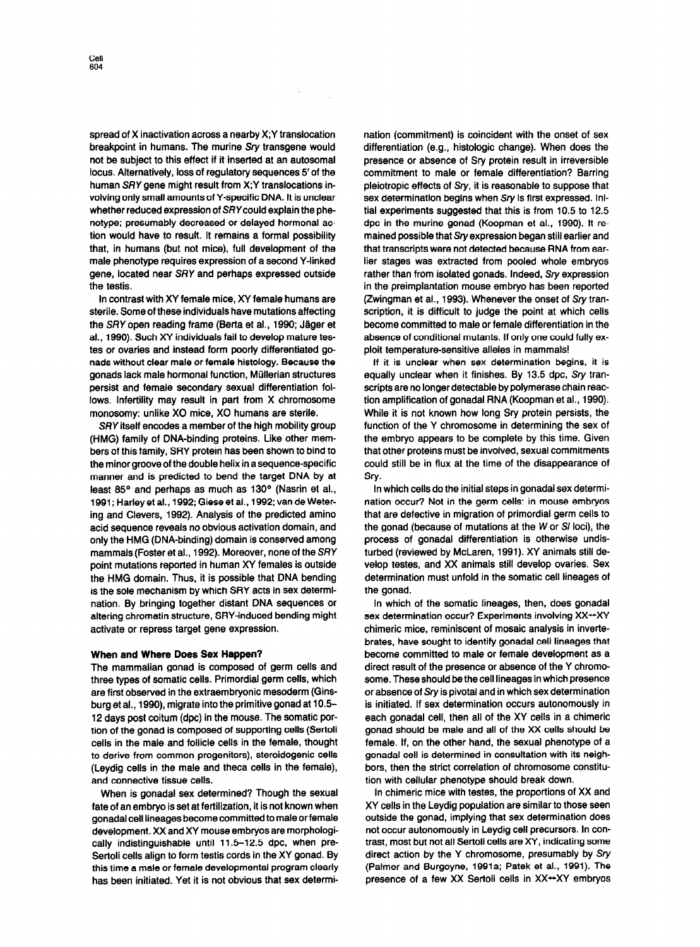spread of X inactivation across a nearby X;Y translocation breakpoint in humans. The murine Sry transgene would not be subject to this effect if it inserted at an autosomal locus. Alternatively, loss of regulatory sequences 5' of the human SRY gene might result from X;Y translocations involving only small amounts of Y-specific DNA. It is unclear whether reduced expression of SRYcould explain the phenotype; presumably decreased or delayed hormonal action would have to result. It remains a formal possibility that, in humans (but not mice), full development of the male phenotype requires expression of a second Y-linked

the testis. In contrast with XY female mice, XY female humans are sterile. Some of these individuals have mutations affecting the SRY open reading frame (Berta et al., 1990; Jäger et al., 1990). Such XY individuals fail to develop mature testes or ovaries and instead form poorly differentiated gonads without clear male or female histology. Because the gonads lack male hormonal function, Miillerian structures persist and female secondary sexual differentiation follows. Infertility may result in part from X chromosome monosomy: unlike X0 mice, X0 humans are sterile.

gene, located near SRY and perhaps expressed outside

SRY itself encodes a member of the high mobility group (HMG) family of DNA-binding proteins. Like other members of this family, SRY protein has been shown to bind to the minor grooveof the double helix in asequence-specific manner and is predicted to bend the target DNA by at least 85° and perhaps as much as 130° (Nasrin et al., 1991; Harleyet al., 1992; Giese et al., 1992; van de Wetering and Clevers, 1992). Analysis of the predicted amino acid sequence reveals no obvious activation domain, and only the HMG (DNA-binding) domain is conserved among mammals (Foster et al., 1992). Moreover, none of the SRY point mutations reported in human XY females is outside the HMG domain. Thus, it is possible that DNA bending is the sole mechanism by which SRY acts in sex determination. By bringing together distant DNA sequences or altering chromatin structure, SRY-induced bending might activate or repress target gene expression.

#### When and Where Does Sex Happen?

The mammalian gonad is composed of germ cells and three types of somatic cells. Primordial germ cells, which are first observed in the extraembryonic mesoderm (Ginsburg et al., 1990), migrate into the primitive gonad at 10.5 12 days post coitum (dpc) in the mouse. The somatic portion of the gonad is composed of supporting cells (Sertoli cells in the male and follicle cells in the female, thought to derive from common progenitors), steroidogenic cells (Leydig cells in the male and theca cells in the female), and connective tissue cells.

When is gonadal sex determined? Though the sexual fate of an embryo is set at fertilization, it is not known when gonadal cell lineages become committed to male or female development. XX and XY mouse embryos are morphologically indistinguishable until 11.5-12.5 dpc, when pre-Sertoli cells align to form testis cords in the XY gonad. By this time a male or female developmental program clearly has been initiated. Yet it is not obvious that sex determi-

nation (commitment) is coincident with the onset of sex differentiation (e.g., histologic change). When does the presence or absence of Sry protein result in irreversible commitment to male or female differentiation? Barring pleiotropic effects of Sry, it is reasonable to suppose that sex determination begins when Sry is first expressed. Initial experiments suggested that this is from 10.5 to 12.5 dpc in the murine gonad (Koopman et al., 1990). It remained possible that Sryexpression began still earlier and that transcripts were not detected because RNA from earlier stages was extracted from pooled whole embryos rather than from isolated gonads. Indeed, Sry expression in the preimplantation mouse embryo has been reported (Zwingman et al., 1993). Whenever the onset of Sry transcription, it is difficult to judge the point at which cells become committed to male or female differentiation in the absence of conditional mutants. If only one could fully exploit temperature-sensitive alleles in mammals!

If it is unclear when sex determination begins, it is equally unclear when it finishes. By 13.5 dpc, Sry transcripts are no longer detectable by polymerase chain reaction amplification of gonadal RNA (Koopman et al., 1990). While it is not known how long Sry protein persists, the function of the Y chromosome in determining the sex of the embryo appears to be complete by this time. Given that other proteins must be involved, sexual commitments could still be in flux at the time of the disappearance of Sry.

In which cells do the initial steps in gonadal sex determination occur? Not in the germ cells: in mouse embryos that are defective in migration of primordial germ cells to the gonad (because of mutations at the W or SI loci), the process of gonadal differentiation is otherwise undisturbed (reviewed by McLaren, 1991). XY animals still develop testes, and XX animals still develop ovaries. Sex determination must unfold in the somatic cell lineages of the gonad.

In which of the somatic lineages, then, does gonadal sex determination occur? Experiments involving XX++XY chimeric mice, reminiscent of mosaic analysis in invertebrates, have sought to identify gonadal cell lineages that become committed to male or female development as a direct result of the presence or absence of the Y chromosome. These should be the cell lineages in which presence or absence of Sry is pivotal and in which sex determination is initiated. If sex determination occurs autonomously in each gonadal cell, then all of the XY cells in a chimeric gonad should be male and all of the XX cells should be female. If, on the other hand, the sexual phenotype of a gonadal cell is determined in consultation with its neighbors, then the strict correlation of chromosome constitution with cellular phenotype should break down.

In chimeric mice with testes, the proportions of XX and XY cells in the Leydig population are similar to those seen outside the gonad, implying that sex determination does not occur autonomously in Leydig cell precursors. In contrast, most but not all Sertoli cells are XY, indicating some direct action by the Y chromosome, presumably by Sry (Palmer and Burgoyne, 1991a; Patek et al., 1991). The presence of a few XX Sertoli cells in XX<sup>++</sup>XY embryos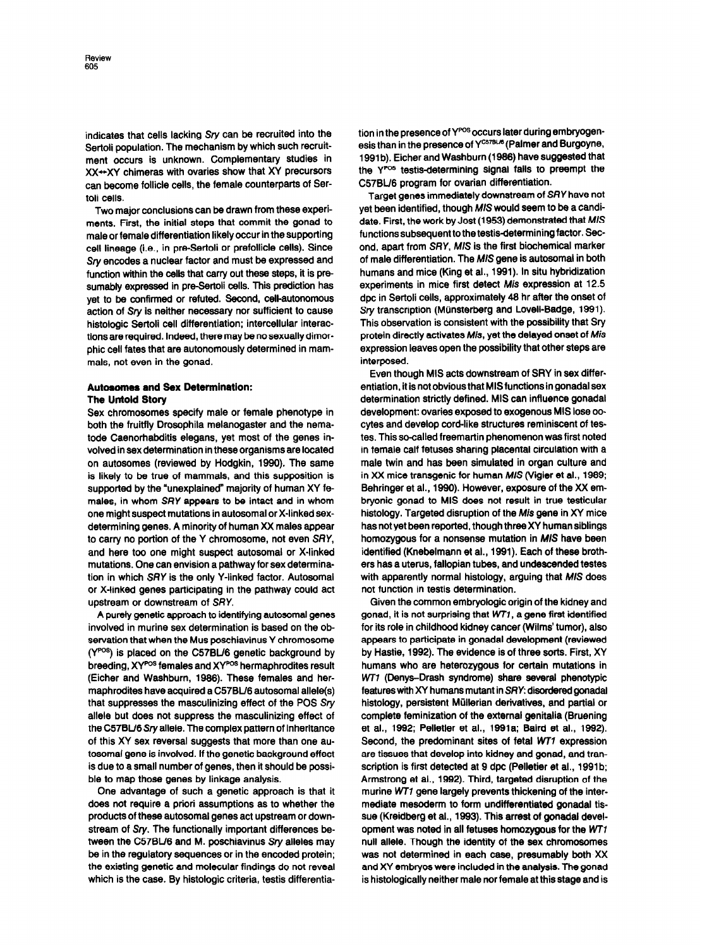indicates that cells lacking Sry can be recruited into the Sertoli population. The mechanism by which such recruitment occurs is unknown. Complementary studies in XX-XY chimeras with ovaries show that XY precursors can become follicle cells, the female counterparts of Sertoli cells.

Two major conclusions can be drawn from these experiments. First, the initial steps that commit the gonad to male or female differentiation likely occur in the supporting cell lineage (i.e., in pre-Sertoli or prefollicle cells). Since Sry encodes a nuclear factor and must be expressed and function within the cells that carry out these steps, it is presumably expressed in pre-Sertoli cells. This prediction has yet to be confirmed or refuted. Second, cell-autonomous action of Sry is neither necessary nor sufficient to cause histologic Sertoli cell differentiation; intercellular interactions are required. Indeed, there may be no sexually dimorphic cell fates that are autonomously determined in mammals, not even in the gonad.

#### Autosomes and Sex Determination: The Untold Story

Sex chromosomes specify male or female phenotype in both the fruitfly Drosophila melanogaster and the nematode Caenorhabditis elegans, yet most of the genes involved in sex determination in these organisms are located on autosomes (reviewed by Hodgkin, 1990). The same is likely to be true of mammals, and this supposition is supported by the 'unexplained" majority of human XY females, in whom SRY appears to be intact and in whom one might suspect mutations in autosomal or X-linked sexdetermining genes. A minority of human XX males appear to carry no portion of the Y chromosome, not even SRY, and here too one might suspect autosomal or X-linked mutations. One can envision a pathway for sex determination in which SRY is the only Y-linked factor. Autosomal or X-linked genes participating in the pathway could act upstream or downstream of SRY.

A purely genetic approach to identifying autosomal genes involved in murine sex determination is based on the observation that when the Mus poschiavinus Y chromosome  $(Y^{pos})$  is placed on the C57BL/6 genetic background by breeding, XYPOS females and XYPOS hermaphrodites result (Eicher and Washburn, 1986). These females and hermaphrodites have acquired a C57BU6 autosomal allele(s) that suppresses the masculinizing effect of the POS Sry allele but does not suppress the masculinizing effect of the C57BU6Sryallele. The complex pattern of inheritance of this XY sex reversal suggests that more than one autosomal gene is involved. If the genetic background effect is due to a small number of genes, then it should be possible to map those genes by linkage analysis.

One advantage of such a genetic approach is that it does not require a priori assumptions as to whether the products of these autosomal genes act upstream or downstream of Sry. The functionally important differences between the C57BL/6 and M. poschiavinus Sry alleles may be in the regulatory sequences or in the encoded protein; the existing genetic and molecular findings do not reveal which is the case. By histologic criteria, testis differentiation in the presence of Y<sup>POS</sup> occurs later during embryogenesis than in the presence of Y<sup>C57BL/6</sup> (Palmer and Burgoyne, 1991b). Eicher and Washburn (1986) have suggested that the Y<sup>pos</sup> testis-determining signal fails to preempt the C57BL/6 program for ovarian differentiation.

Target genes immediately downstream of SRY have not yet been identified, though MIS would seem to be a candidate. First, the work by Jost (1953) demonstrated that MIS functions subsequent to the testis-determining factor. Second, apart from SRY, M/S is the first biochemical marker of male differentiation. The MIS gene is autosomal in both humans and mice (King et al., 1991). In situ hybridization experiments in mice first detect Mis expression at 12.5 dpc in Sertoli cells, approximately 46 hr after the onset of Srv transcription (Münsterberg and Lovell-Badge, 1991). This observation is consistent with the possibility that Sry protein directly activates Mis, yet the delayed onset of Mis expression leaves open the possibility that other steps are interposed.

Even though MIS acts downstream of SRY in sex differentiation, it is not obvious that MIS functions in gonadal sex determination strictly defined. MIS can influence gonadal development: ovaries exposed to exogenous MIS lose oocytes and develop cord-like structures reminiscent of testes. This so-called freemartin phenomenon was first noted in female calf fetuses sharing placental circulation with a male twin and has been simulated in organ culture and in XX mice transgenic for human M/S (Vigier et al., 1969; Behringer et al., 1996). However, exposure of the XX embryonic gonad to MIS does not result in true testicular histology. Targeted disruption of the Mis gene in XY mice has not yet been reported, though three XY human siblings homozygous for a nonsense mutation in MIS have been identified (Knebelmann et al., 1991). Each of these brothers has a uterus, fallopian tubes, and undescended testes with apparently normal histology, arguing that MIS does not function in testis determination.

Given the common embryologic origin of the kidney and gonad, it is not surprising that W77, a gene first identified for its role in childhood kidney cancer (Wilms' tumor), also appears to participate in gonadal development (reviewed by Hastie, 1992). The evidence is of three sorts. First, XY humans who are heterozygous for certain mutations in WT1 (Denys-Drash syndrome) share several phenotypic featureswkh XY humans mutant in SRY: disordered gonadal histology, persistent Müllerian derivatives, and partial or complete feminization of the external genitalia (Bruening et al., 1992; Pelletier et al., 1991a; Baird et al., 1992). Second, the predominant sites of fetal WTI expression are tissues that develop into kidney and gonad, and transcription is first detected at 9 dpc (Pelletier et al., 1991b; Armstrong et al., 1992). Third, targeted disruption of the murine WT7 gene largely prevents thickening of the intermediate mesoderm to form undifferentiated gonadal tissue (Kreidberg et al., 1993). This arrest of gonadal development was noted in all fetuses homozygous for the WT7 null allele. Though the identity of the sex chromosomes was not determined in each case, presumably both XX and XY embryos were included in the analysis. The gonad is histologically neither male nor female at this stage and is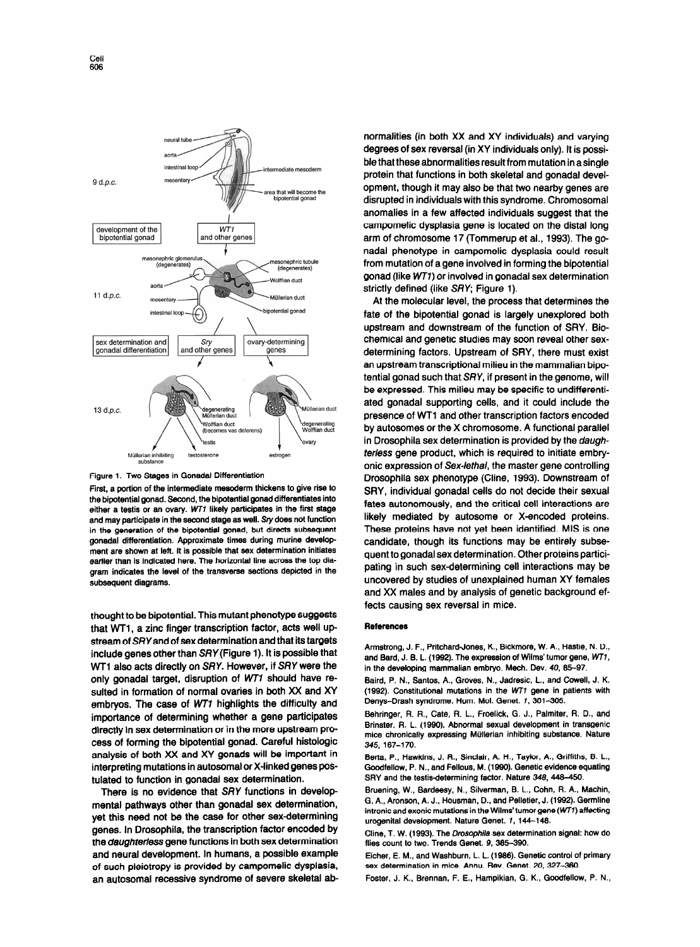intestinal loop 9 d.p.c. that will become<br>pipotential gonad development of the<br>bipotential gonad WT1 and other genes phric glo ephric tubule (dege  $\mathfrak{g}$ Wolffian duct 11 d.p.c. an duct bipotential gonad ovary-determining sex determination and  $S_{IV}$ gonadal differentiation and other genes genes 13 d.p.c. degenerating<br>Müllerian duct lüllerian duct Wolffian duct legenerating<br>Nolffian duct (becomes vas deferens) Müllerian inhibiting estroger



First, a portion of the intermediate mesoderm thickens to give rise to the bipotential gonad. Second, the bipotential gonad differentiates into either a testis or an ovary. WT1 likely participates in the first stage and may participate in the second stage as well. Sry does not function in the generation of the bipotential gonad, but directs subsequent gonadal differentiation. Approximate times during murine development are shown at left. It is possible that sex determination initiates earlier than is indicated here. The horizontal line across the top diagram indicates the level of the transverse sections depicted in the subsequent diagrams.

thought to be bipotential. This mutant phenotype suggests that WT1, a zinc finger transcription factor, acts well upstream of SRY and of sex determination and that its targets include genes other than SRY (Figure 1). It is possible that WT1 also acts directly on SRY. However, if SRY were the only gonadal target, disruption of WT7 should have resulted in formation of normal ovaries in both XX and XY embryos. The case of W77 highlights the difficulty and importance of determining whether a gene participates directly in sex determination or in the more upstream process of forming the bipotential gonad. Careful histologic analysis of both XX and XY gonads will be important in interpreting mutations in autosomal or X-linked genes postulated to function in gonadal sex determination.

There is no evidence that SRY functions in developmental pathways other than gonadal sex determination, yet this need not be the case for other sex-determining genes. In Drosophila, the transcription factor encoded by the *daughterless* gene functions in both sex determination and neural development. In humans, a possible example of such pleiotropy is provided by campomelic dysplasia, an autosomal recessive syndrome of severe skeletal abnormalities (in both XX and XY individuals) and varying degrees of sex reversal (in XY individuals only). It is possible that these abnormalities result from mutation in a single protein that functions in both skeletal and gonadal development, though it may also be that two nearby genes are disrupted in individuals with this syndrome. Chromosomal anomalies in a few affected individuals suggest that the campomelic dysplasia gene is located on the distal long arm of chromosome 17 (Tommerup et al., 1993). The gonadal phenotype in campomelic dysplasia could result from mutation of agene involved in forming the bipotential gonad (like WT1) or involved in gonadal sex determination strictly defined (like SRV; Figure 1).

At the molecular level, the process that determines the fate of the bipotential gonad is largely unexplored both upstream and downstream of the function of SRY. Biochemical and genetic studies may soon reveal other sexdetermining factors. Upstream of SRY, there must exist an upstream transcriptional milieu in the mammalian bipotential gonad such that SRY, if present in the genome, will be expressed. This milieu may be specific to undifferentiated gonadal supporting cells, and it could include the presence of WTl and other transcription factors encoded by autosomes or the X chromosome. A functional parallel in Drosophila sex determination is provided by the daughterless gene product, which is required to initiate embryonic expression of Sex-lethel, the master gene controlling Drosophila sex phenotype (Cline, 1993). Downstream of SRY, individual gonadal cells do not decide their sexual fates autonomously, and the critical cell interactions are likely mediated by autosome or X-encoded proteins. These proteins have not yet been identified. MIS is one candidate, though its functions may be entirely subsequent to gonadal sex determination. Other proteins participating in such sex-determining cell interactions may be uncovered by studies of unexplained human XY females and XX males and by analysis of genetic background effects causing sex reversal in mice.

### References

Armstrong, J. F., Pritchard-Jones, K., Bickmore, W. A., Hastie, N. D., and Bard, J. 6. L. (1992). The expression of Wilms'tumor gene, WTI, in the developing mammalian embryo. Mech. Dev. 40, 66-97.

Baird, P. N., Santos, A., Groves, N., Jadresic, L., and Cowell, J. K. (1992). Constitutional mutations in the wT7 gene in patients with Denys-Drash syndrome. Hum. Mol. Genet. 1, 361-395.

Behringer, R. R., Cate, R. L., Froelick, G. J., Palmiter, R. D., and Brinster, R. L. (199g). Abnormal sexual development in transgenic mice chronically expressing Miillerian inhibiting substance. Nature 345, 167-170.

Berta, P., Hawkins, J. R., Sinclair, A. H., Taylor, A., Griffiths, B. L., Goodfellow, P. N., and Fellous, M. (1999). Genetic evidence equating SRY and the testis-determining factor. Nature 348, 446-466.

Bruening, W., Bardeesy, N., Silverman, B. L., Cohn, R. A., Machin, G. A., Aronson, A. J., Housman. D., and Pelletier, J. (1992). Germline intronic and exonic mutations in the Wilms' tumor gene (WT1) affecting urogenital development. Nature Genet. 1, 144-146.

Cline, T. W. (1993). The Drosophila sex determination signal: how do flies count to two. Trends Genet. 9, 366-396.

Eicher, E. M., and Washburn, L. L. (1986). Genetic control of primary sex determination in mice. Annu. Rev. Genet. 20, 327-360.

Foster, J. K., Brennan, F. E., Hampikian, G. K., Goodfellow, P. N.,